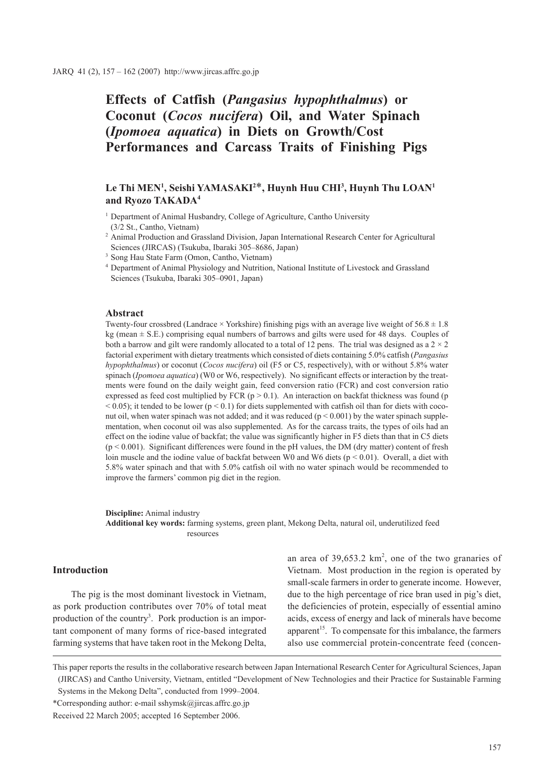# **Effects of Catfish (***Pangasius hypophthalmus***) or Coconut (***Cocos nucifera***) Oil, and Water Spinach (***Ipomoea aquatica***) in Diets on Growth/Cost Performances and Carcass Traits of Finishing Pigs**

## $\mathbf{L}\mathbf{e}$  Thi MEN<sup>1</sup>, Seishi YAMASAKI<sup>2\*</sup>, Huynh Huu CHI<sup>3</sup>, Huynh Thu LOAN<sup>1</sup> **and Ryozo TAKADA4**

<sup>1</sup> Department of Animal Husbandry, College of Agriculture, Cantho University (3/2 St., Cantho, Vietnam)

- <sup>2</sup> Animal Production and Grassland Division, Japan International Research Center for Agricultural Sciences (JIRCAS) (Tsukuba, Ibaraki 305–8686, Japan)
- <sup>3</sup> Song Hau State Farm (Omon, Cantho, Vietnam)

#### **Abstract**

Twenty-four crossbred (Landrace  $\times$  Yorkshire) finishing pigs with an average live weight of 56.8  $\pm$  1.8  $kg$  (mean  $\pm$  S.E.) comprising equal numbers of barrows and gilts were used for 48 days. Couples of both a barrow and gilt were randomly allocated to a total of 12 pens. The trial was designed as a  $2 \times 2$ factorial experiment with dietary treatments which consisted of diets containing 5.0% catfish (*Pangasius hypophthalmus*) or coconut (*Cocos nucifera*) oil (F5 or C5, respectively), with or without 5.8% water spinach (*Ipomoea aquatica*) (W0 or W6, respectively). No significant effects or interaction by the treatments were found on the daily weight gain, feed conversion ratio (FCR) and cost conversion ratio expressed as feed cost multiplied by FCR ( $p > 0.1$ ). An interaction on backfat thickness was found ( $p$ )  $< 0.05$ ); it tended to be lower ( $p < 0.1$ ) for diets supplemented with catfish oil than for diets with coconut oil, when water spinach was not added; and it was reduced  $(p < 0.001)$  by the water spinach supplementation, when coconut oil was also supplemented. As for the carcass traits, the types of oils had an effect on the iodine value of backfat; the value was significantly higher in F5 diets than that in C5 diets (p < 0.001). Significant differences were found in the pH values, the DM (dry matter) content of fresh loin muscle and the iodine value of backfat between W0 and W6 diets ( $p < 0.01$ ). Overall, a diet with 5.8% water spinach and that with 5.0% catfish oil with no water spinach would be recommended to improve the farmers' common pig diet in the region.

**Discipline:** Animal industry **Additional key words:** farming systems, green plant, Mekong Delta, natural oil, underutilized feed resources

## **Introduction**

The pig is the most dominant livestock in Vietnam, as pork production contributes over 70% of total meat production of the country<sup>3</sup>. Pork production is an important component of many forms of rice-based integrated farming systems that have taken root in the Mekong Delta,

an area of  $39,653.2 \text{ km}^2$ , one of the two granaries of Vietnam. Most production in the region is operated by small-scale farmers in order to generate income. However, due to the high percentage of rice bran used in pig's diet, the deficiencies of protein, especially of essential amino acids, excess of energy and lack of minerals have become apparent<sup>15</sup>. To compensate for this imbalance, the farmers also use commercial protein-concentrate feed (concen-

This paper reports the results in the collaborative research between Japan International Research Center for Agricultural Sciences, Japan (JIRCAS) and Cantho University, Vietnam, entitled "Development of New Technologies and their Practice for Sustainable Farming Systems in the Mekong Delta", conducted from 1999–2004.

<sup>4</sup> Department of Animal Physiology and Nutrition, National Institute of Livestock and Grassland Sciences (Tsukuba, Ibaraki 305–0901, Japan)

<sup>\*</sup>Corresponding author: e-mail sshymsk@jircas.affrc.go.jp

Received 22 March 2005; accepted 16 September 2006.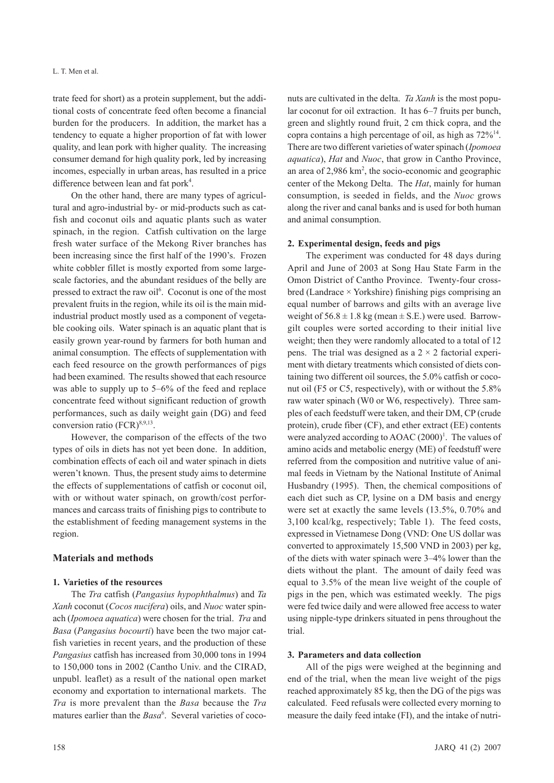trate feed for short) as a protein supplement, but the additional costs of concentrate feed often become a financial burden for the producers. In addition, the market has a tendency to equate a higher proportion of fat with lower quality, and lean pork with higher quality. The increasing consumer demand for high quality pork, led by increasing incomes, especially in urban areas, has resulted in a price difference between lean and fat pork<sup>4</sup>.

On the other hand, there are many types of agricultural and agro-industrial by- or mid-products such as catfish and coconut oils and aquatic plants such as water spinach, in the region. Catfish cultivation on the large fresh water surface of the Mekong River branches has been increasing since the first half of the 1990's. Frozen white cobbler fillet is mostly exported from some largescale factories, and the abundant residues of the belly are pressed to extract the raw oil<sup>6</sup>. Coconut is one of the most prevalent fruits in the region, while its oil is the main midindustrial product mostly used as a component of vegetable cooking oils. Water spinach is an aquatic plant that is easily grown year-round by farmers for both human and animal consumption. The effects of supplementation with each feed resource on the growth performances of pigs had been examined. The results showed that each resource was able to supply up to 5–6% of the feed and replace concentrate feed without significant reduction of growth performances, such as daily weight gain (DG) and feed conversion ratio  $(FCR)^{8,9,13}$ .

However, the comparison of the effects of the two types of oils in diets has not yet been done. In addition, combination effects of each oil and water spinach in diets weren't known. Thus, the present study aims to determine the effects of supplementations of catfish or coconut oil, with or without water spinach, on growth/cost performances and carcass traits of finishing pigs to contribute to the establishment of feeding management systems in the region.

## **Materials and methods**

## **1. Varieties of the resources**

The *Tra* catfish (*Pangasius hypophthalmus*) and *Ta Xanh* coconut (*Cocos nucifera*) oils, and *Nuoc* water spinach (*Ipomoea aquatica*) were chosen for the trial. *Tra* and *Basa* (*Pangasius bocourti*) have been the two major catfish varieties in recent years, and the production of these *Pangasius* catfish has increased from 30,000 tons in 1994 to 150,000 tons in 2002 (Cantho Univ. and the CIRAD, unpubl. leaflet) as a result of the national open market economy and exportation to international markets. The *Tra* is more prevalent than the *Basa* because the *Tra* matures earlier than the *Basa*<sup>6</sup>. Several varieties of coconuts are cultivated in the delta. *Ta Xanh* is the most popular coconut for oil extraction. It has 6–7 fruits per bunch, green and slightly round fruit, 2 cm thick copra, and the copra contains a high percentage of oil, as high as  $72\%^{14}$ . There are two different varieties of water spinach (*Ipomoea aquatica*), *Hat* and *Nuoc*, that grow in Cantho Province, an area of  $2,986 \text{ km}^2$ , the socio-economic and geographic center of the Mekong Delta. The *Hat*, mainly for human consumption, is seeded in fields, and the *Nuoc* grows along the river and canal banks and is used for both human and animal consumption.

#### **2. Experimental design, feeds and pigs**

The experiment was conducted for 48 days during April and June of 2003 at Song Hau State Farm in the Omon District of Cantho Province. Twenty-four crossbred (Landrace × Yorkshire) finishing pigs comprising an equal number of barrows and gilts with an average live weight of  $56.8 \pm 1.8$  kg (mean  $\pm$  S.E.) were used. Barrowgilt couples were sorted according to their initial live weight; then they were randomly allocated to a total of 12 pens. The trial was designed as a  $2 \times 2$  factorial experiment with dietary treatments which consisted of diets containing two different oil sources, the 5.0% catfish or coconut oil (F5 or C5, respectively), with or without the 5.8% raw water spinach (W0 or W6, respectively). Three samples of each feedstuff were taken, and their DM, CP (crude protein), crude fiber (CF), and ether extract (EE) contents were analyzed according to AOAC  $(2000)^1$ . The values of amino acids and metabolic energy (ME) of feedstuff were referred from the composition and nutritive value of animal feeds in Vietnam by the National Institute of Animal Husbandry (1995). Then, the chemical compositions of each diet such as CP, lysine on a DM basis and energy were set at exactly the same levels (13.5%, 0.70% and 3,100 kcal/kg, respectively; Table 1). The feed costs, expressed in Vietnamese Dong (VND: One US dollar was converted to approximately 15,500 VND in 2003) per kg, of the diets with water spinach were 3–4% lower than the diets without the plant. The amount of daily feed was equal to 3.5% of the mean live weight of the couple of pigs in the pen, which was estimated weekly. The pigs were fed twice daily and were allowed free access to water using nipple-type drinkers situated in pens throughout the trial.

#### **3. Parameters and data collection**

All of the pigs were weighed at the beginning and end of the trial, when the mean live weight of the pigs reached approximately 85 kg, then the DG of the pigs was calculated. Feed refusals were collected every morning to measure the daily feed intake (FI), and the intake of nutri-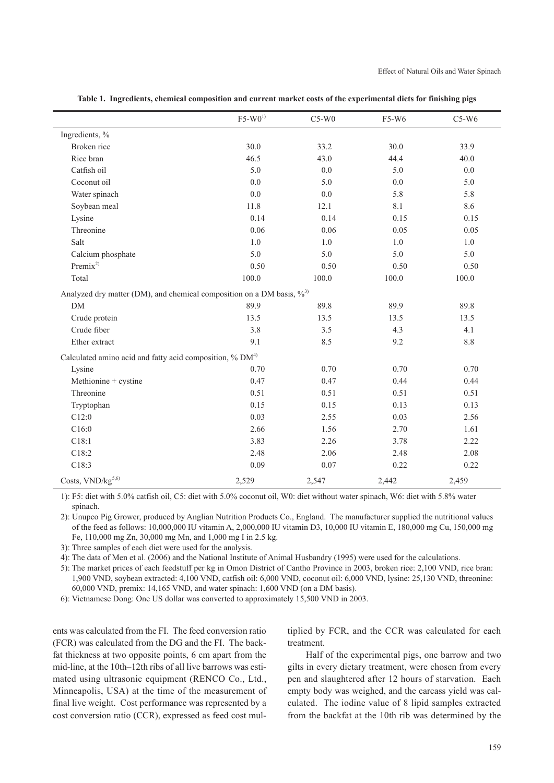|                                                                          | $F5-W0^{1}$ | $C5-W0$ | F5-W6   | $C5-W6$ |  |  |  |  |  |
|--------------------------------------------------------------------------|-------------|---------|---------|---------|--|--|--|--|--|
| Ingredients, %                                                           |             |         |         |         |  |  |  |  |  |
| Broken rice                                                              | 30.0        | 33.2    | 30.0    | 33.9    |  |  |  |  |  |
| Rice bran                                                                | 46.5        | 43.0    | 44.4    | 40.0    |  |  |  |  |  |
| Catfish oil                                                              | 5.0         | $0.0\,$ | 5.0     | 0.0     |  |  |  |  |  |
| Coconut oil                                                              | 0.0         | 5.0     | 0.0     | 5.0     |  |  |  |  |  |
| Water spinach                                                            | 0.0         | 0.0     | 5.8     | 5.8     |  |  |  |  |  |
| Soybean meal                                                             | 11.8        | 12.1    | 8.1     | 8.6     |  |  |  |  |  |
| Lysine                                                                   | 0.14        | 0.14    | 0.15    | 0.15    |  |  |  |  |  |
| Threonine                                                                | 0.06        | 0.06    | 0.05    | 0.05    |  |  |  |  |  |
| Salt                                                                     | 1.0         | $1.0\,$ | $1.0\,$ | $1.0\,$ |  |  |  |  |  |
| Calcium phosphate                                                        | 5.0         | 5.0     | 5.0     | 5.0     |  |  |  |  |  |
| Premix <sup>2)</sup>                                                     | 0.50        | 0.50    | 0.50    | 0.50    |  |  |  |  |  |
| Total                                                                    | 100.0       | 100.0   | 100.0   | 100.0   |  |  |  |  |  |
| Analyzed dry matter (DM), and chemical composition on a DM basis, $\%^3$ |             |         |         |         |  |  |  |  |  |
| ${\rm DM}$                                                               | 89.9        | 89.8    | 89.9    | 89.8    |  |  |  |  |  |
| Crude protein                                                            | 13.5        | 13.5    | 13.5    | 13.5    |  |  |  |  |  |
| Crude fiber                                                              | 3.8         | 3.5     | 4.3     | 4.1     |  |  |  |  |  |
| Ether extract                                                            | 9.1         | 8.5     | 9.2     | $8.8\,$ |  |  |  |  |  |
| Calculated amino acid and fatty acid composition, % DM <sup>4)</sup>     |             |         |         |         |  |  |  |  |  |
| Lysine                                                                   | 0.70        | 0.70    | 0.70    | 0.70    |  |  |  |  |  |
| Methionine + cystine                                                     | 0.47        | 0.47    | 0.44    | 0.44    |  |  |  |  |  |
| Threonine                                                                | 0.51        | 0.51    | 0.51    | 0.51    |  |  |  |  |  |
| Tryptophan                                                               | 0.15        | 0.15    | 0.13    | 0.13    |  |  |  |  |  |
| C12:0                                                                    | 0.03        | 2.55    | 0.03    | 2.56    |  |  |  |  |  |
| C16:0                                                                    | 2.66        | 1.56    | 2.70    | 1.61    |  |  |  |  |  |
| C18:1                                                                    | 3.83        | 2.26    | 3.78    | 2.22    |  |  |  |  |  |
| C18:2                                                                    | 2.48        | 2.06    | 2.48    | 2.08    |  |  |  |  |  |
| C18:3                                                                    | 0.09        | 0.07    | 0.22    | 0.22    |  |  |  |  |  |
| Costs, VND/kg <sup>5,6)</sup>                                            | 2,529       | 2,547   | 2,442   | 2,459   |  |  |  |  |  |

**Table 1. Ingredients, chemical composition and current market costs of the experimental diets for finishing pigs** 

1): F5: diet with 5.0% catfish oil, C5: diet with 5.0% coconut oil, W0: diet without water spinach, W6: diet with 5.8% water spinach.

2): Unupco Pig Grower, produced by Anglian Nutrition Products Co., England. The manufacturer supplied the nutritional values of the feed as follows: 10,000,000 IU vitamin A, 2,000,000 IU vitamin D3, 10,000 IU vitamin E, 180,000 mg Cu, 150,000 mg Fe, 110,000 mg Zn, 30,000 mg Mn, and 1,000 mg I in 2.5 kg.

3): Three samples of each diet were used for the analysis.

4): The data of Men et al. (2006) and the National Institute of Animal Husbandry (1995) were used for the calculations.

5): The market prices of each feedstuff per kg in Omon District of Cantho Province in 2003, broken rice: 2,100 VND, rice bran: 1,900 VND, soybean extracted: 4,100 VND, catfish oil: 6,000 VND, coconut oil: 6,000 VND, lysine: 25,130 VND, threonine: 60,000 VND, premix: 14,165 VND, and water spinach: 1,600 VND (on a DM basis).

6): Vietnamese Dong: One US dollar was converted to approximately 15,500 VND in 2003.

ents was calculated from the FI. The feed conversion ratio (FCR) was calculated from the DG and the FI. The backfat thickness at two opposite points, 6 cm apart from the mid-line, at the 10th–12th ribs of all live barrows was estimated using ultrasonic equipment (RENCO Co., Ltd., Minneapolis, USA) at the time of the measurement of final live weight. Cost performance was represented by a cost conversion ratio (CCR), expressed as feed cost mul-

tiplied by FCR, and the CCR was calculated for each treatment.

Half of the experimental pigs, one barrow and two gilts in every dietary treatment, were chosen from every pen and slaughtered after 12 hours of starvation. Each empty body was weighed, and the carcass yield was calculated. The iodine value of 8 lipid samples extracted from the backfat at the 10th rib was determined by the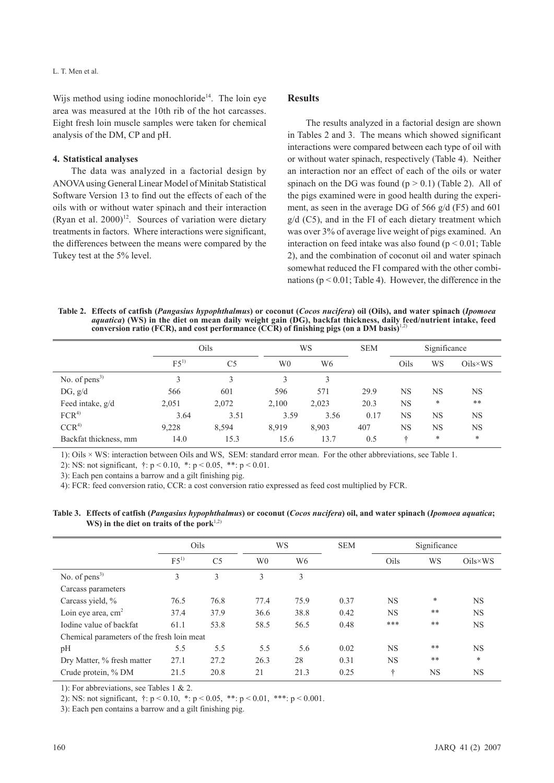Wijs method using iodine monochloride<sup>14</sup>. The loin eye area was measured at the 10th rib of the hot carcasses. Eight fresh loin muscle samples were taken for chemical analysis of the DM, CP and pH.

#### **4. Statistical analyses**

The data was analyzed in a factorial design by ANOVA using General Linear Model of Minitab Statistical Software Version 13 to find out the effects of each of the oils with or without water spinach and their interaction (Ryan et al.  $2000$ <sup>12</sup>. Sources of variation were dietary treatments in factors. Where interactions were significant, the differences between the means were compared by the Tukey test at the 5% level.

## **Results**

The results analyzed in a factorial design are shown in Tables 2 and 3. The means which showed significant interactions were compared between each type of oil with or without water spinach, respectively (Table 4). Neither an interaction nor an effect of each of the oils or water spinach on the DG was found  $(p > 0.1)$  (Table 2). All of the pigs examined were in good health during the experiment, as seen in the average DG of 566 g/d (F5) and 601  $g/d$  (C5), and in the FI of each dietary treatment which was over 3% of average live weight of pigs examined. An interaction on feed intake was also found ( $p < 0.01$ ; Table 2), and the combination of coconut oil and water spinach somewhat reduced the FI compared with the other combinations ( $p < 0.01$ ; Table 4). However, the difference in the

**Table 2. Effects of catfish (***Pangasius hypophthalmus***) or coconut (***Cocos nucifera***) oil (Oils), and water spinach (***Ipomoea aquatica***) (WS) in the diet on mean daily weight gain (DG), backfat thickness, daily feed/nutrient intake, feed conversion ratio (FCR), and cost performance (CCR) of finishing pigs (on a DM basis)**1,2)

|                       | Oils            |                |       | WS    |      | Significance |           |                  |
|-----------------------|-----------------|----------------|-------|-------|------|--------------|-----------|------------------|
|                       | F5 <sup>1</sup> | C <sub>5</sub> | W0    | W6    |      | Oils         | WS        | $Oils \times WS$ |
| No. of $pens3$        |                 | 3              | 3     | 3     |      |              |           |                  |
| DG, g/d               | 566             | 601            | 596   | 571   | 29.9 | <b>NS</b>    | NS        | <b>NS</b>        |
| Feed intake, g/d      | 2,051           | 2,072          | 2,100 | 2,023 | 20.3 | <b>NS</b>    | *         | $* *$            |
| FCR <sup>4</sup>      | 3.64            | 3.51           | 3.59  | 3.56  | 0.17 | <b>NS</b>    | <b>NS</b> | <b>NS</b>        |
| CCR <sup>4</sup>      | 9,228           | 8,594          | 8,919 | 8,903 | 407  | <b>NS</b>    | NS        | <b>NS</b>        |
| Backfat thickness, mm | 14.0            | 15.3           | 15.6  | 13.7  | 0.5  | ÷            | *         | $\ast$           |

1): Oils × WS: interaction between Oils and WS, SEM: standard error mean. For the other abbreviations, see Table 1.

2): NS: not significant, †: p < 0.10, \*: p < 0.05, \*\*: p < 0.01.

3): Each pen contains a barrow and a gilt finishing pig.

4): FCR: feed conversion ratio, CCR: a cost conversion ratio expressed as feed cost multiplied by FCR.

**Table 3. Effects of catfish (***Pangasius hypophthalmus***) or coconut (***Cocos nucifera***) oil, and water spinach (***Ipomoea aquatica***; WS)** in the diet on traits of the pork<sup>1,2)</sup>

|                                            | Oils            |                |                | WS<br><b>SEM</b> |      | Significance |           |                  |
|--------------------------------------------|-----------------|----------------|----------------|------------------|------|--------------|-----------|------------------|
|                                            | F5 <sup>1</sup> | C <sub>5</sub> | W <sub>0</sub> | W <sub>6</sub>   |      | Oils         | WS        | $Oils \times WS$ |
| No. of $pens3$                             | 3               | 3              | 3              | 3                |      |              |           |                  |
| Carcass parameters                         |                 |                |                |                  |      |              |           |                  |
| Carcass yield, %                           | 76.5            | 76.8           | 77.4           | 75.9             | 0.37 | <b>NS</b>    | $\ast$    | <b>NS</b>        |
| Loin eye area, $cm2$                       | 37.4            | 37.9           | 36.6           | 38.8             | 0.42 | <b>NS</b>    | **        | <b>NS</b>        |
| Iodine value of backfat                    | 61.1            | 53.8           | 58.5           | 56.5             | 0.48 | ***          | **        | <b>NS</b>        |
| Chemical parameters of the fresh loin meat |                 |                |                |                  |      |              |           |                  |
| pH                                         | 5.5             | 5.5            | 5.5            | 5.6              | 0.02 | <b>NS</b>    | **        | <b>NS</b>        |
| Dry Matter, % fresh matter                 | 27.1            | 27.2           | 26.3           | 28               | 0.31 | <b>NS</b>    | **        | *                |
| Crude protein, % DM                        | 21.5            | 20.8           | 21             | 21.3             | 0.25 | ÷            | <b>NS</b> | <b>NS</b>        |
|                                            |                 |                |                |                  |      |              |           |                  |

1): For abbreviations, see Tables 1 & 2.

2): NS: not significant,  $\uparrow$ :  $p < 0.10$ ,  $\uparrow$ :  $p < 0.05$ ,  $\uparrow$   $\uparrow$ :  $p < 0.01$ ,  $\uparrow$   $\uparrow$ :  $p < 0.001$ .

3): Each pen contains a barrow and a gilt finishing pig.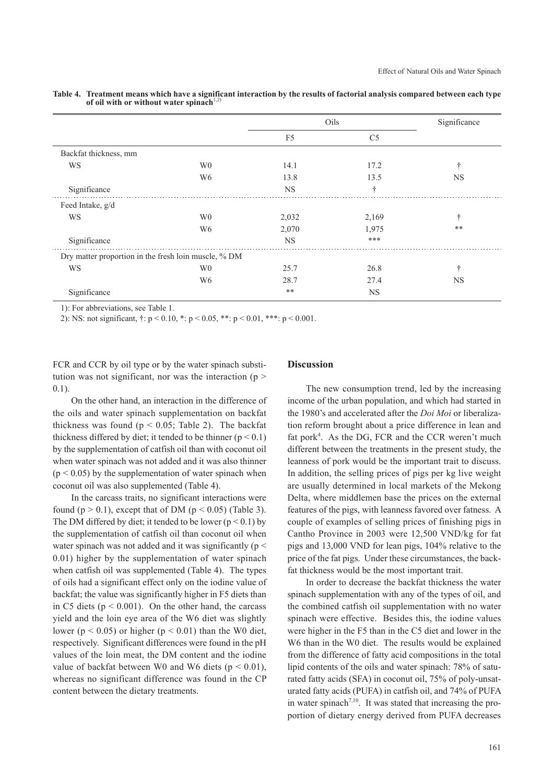|                                                      |                | Oils           | Significance   |           |
|------------------------------------------------------|----------------|----------------|----------------|-----------|
|                                                      |                | F <sub>5</sub> | C <sub>5</sub> |           |
| Backfat thickness, mm                                |                |                |                |           |
| WS                                                   | W <sub>0</sub> | 14.1           | 17.2           | ÷         |
|                                                      | W <sub>6</sub> | 13.8           | 13.5           | <b>NS</b> |
| Significance                                         |                | <b>NS</b>      | ÷              |           |
| Feed Intake, g/d                                     |                |                |                |           |
| WS                                                   | W <sub>0</sub> | 2,032          | 2,169          |           |
|                                                      | W <sub>6</sub> | 2,070          | 1,975          | **        |
| Significance                                         |                | <b>NS</b>      | ***            |           |
| Dry matter proportion in the fresh loin muscle, % DM |                |                |                |           |
| WS                                                   | W <sub>0</sub> | 25.7           | 26.8           | ÷         |
|                                                      | W <sub>6</sub> | 28.7           | 27.4           | <b>NS</b> |
| Significance                                         |                | $**$           | <b>NS</b>      |           |

**Table 4. Treatment means which have a significant interaction by the results of factorial analysis compared between each type**  of oil with or without water spinach<sup>1</sup>

1): For abbreviations, see Table 1.

2): NS: not significant, †: p < 0.10, \*: p < 0.05, \*\*: p < 0.01, \*\*\*: p < 0.001.

FCR and CCR by oil type or by the water spinach substitution was not significant, nor was the interaction ( $p$  > 0.1).

On the other hand, an interaction in the difference of the oils and water spinach supplementation on backfat thickness was found ( $p < 0.05$ ; Table 2). The backfat thickness differed by diet; it tended to be thinner ( $p < 0.1$ ) by the supplementation of catfish oil than with coconut oil when water spinach was not added and it was also thinner  $(p < 0.05)$  by the supplementation of water spinach when coconut oil was also supplemented (Table 4).

In the carcass traits, no significant interactions were found ( $p > 0.1$ ), except that of DM ( $p < 0.05$ ) (Table 3). The DM differed by diet; it tended to be lower ( $p < 0.1$ ) by the supplementation of catfish oil than coconut oil when water spinach was not added and it was significantly ( $p$  < 0.01) higher by the supplementation of water spinach when catfish oil was supplemented (Table 4). The types of oils had a significant effect only on the iodine value of backfat; the value was significantly higher in F5 diets than in C5 diets ( $p < 0.001$ ). On the other hand, the carcass yield and the loin eye area of the W6 diet was slightly lower ( $p < 0.05$ ) or higher ( $p < 0.01$ ) than the W0 diet, respectively. Significant differences were found in the pH values of the loin meat, the DM content and the iodine value of backfat between W0 and W6 diets ( $p < 0.01$ ), whereas no significant difference was found in the CP content between the dietary treatments.

## **Discussion**

The new consumption trend, led by the increasing income of the urban population, and which had started in the 1980's and accelerated after the *Doi Moi* or liberalization reform brought about a price difference in lean and fat pork<sup>4</sup>. As the DG, FCR and the CCR weren't much different between the treatments in the present study, the leanness of pork would be the important trait to discuss. In addition, the selling prices of pigs per kg live weight are usually determined in local markets of the Mekong Delta, where middlemen base the prices on the external features of the pigs, with leanness favored over fatness. A couple of examples of selling prices of finishing pigs in Cantho Province in 2003 were 12,500 VND/kg for fat pigs and 13,000 VND for lean pigs, 104% relative to the price of the fat pigs. Under these circumstances, the backfat thickness would be the most important trait.

In order to decrease the backfat thickness the water spinach supplementation with any of the types of oil, and the combined catfish oil supplementation with no water spinach were effective. Besides this, the iodine values were higher in the F5 than in the C5 diet and lower in the W6 than in the W0 diet. The results would be explained from the difference of fatty acid compositions in the total lipid contents of the oils and water spinach: 78% of saturated fatty acids (SFA) in coconut oil, 75% of poly-unsaturated fatty acids (PUFA) in catfish oil, and 74% of PUFA in water spinach<sup>7,10</sup>. It was stated that increasing the proportion of dietary energy derived from PUFA decreases